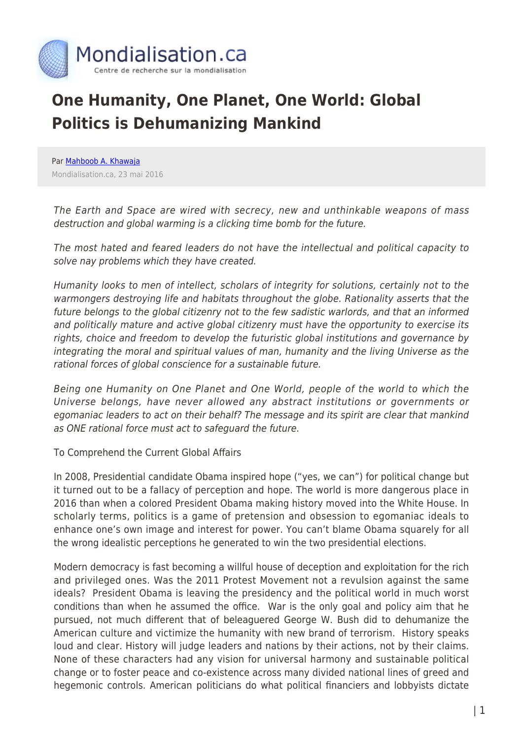

## **One Humanity, One Planet, One World: Global Politics is Dehumanizing Mankind**

Par [Mahboob A. Khawaja](https://www.mondialisation.ca/author/mahboob-a-khawaja) Mondialisation.ca, 23 mai 2016

The Earth and Space are wired with secrecy, new and unthinkable weapons of mass destruction and global warming is a clicking time bomb for the future.

The most hated and feared leaders do not have the intellectual and political capacity to solve nay problems which they have created.

Humanity looks to men of intellect, scholars of integrity for solutions, certainly not to the warmongers destroying life and habitats throughout the globe. Rationality asserts that the future belongs to the global citizenry not to the few sadistic warlords, and that an informed and politically mature and active global citizenry must have the opportunity to exercise its rights, choice and freedom to develop the futuristic global institutions and governance by integrating the moral and spiritual values of man, humanity and the living Universe as the rational forces of global conscience for a sustainable future.

Being one Humanity on One Planet and One World, people of the world to which the Universe belongs, have never allowed any abstract institutions or governments or egomaniac leaders to act on their behalf? The message and its spirit are clear that mankind as ONE rational force must act to safeguard the future.

To Comprehend the Current Global Affairs

In 2008, Presidential candidate Obama inspired hope ("yes, we can") for political change but it turned out to be a fallacy of perception and hope. The world is more dangerous place in 2016 than when a colored President Obama making history moved into the White House. In scholarly terms, politics is a game of pretension and obsession to egomaniac ideals to enhance one's own image and interest for power. You can't blame Obama squarely for all the wrong idealistic perceptions he generated to win the two presidential elections.

Modern democracy is fast becoming a willful house of deception and exploitation for the rich and privileged ones. Was the 2011 Protest Movement not a revulsion against the same ideals? President Obama is leaving the presidency and the political world in much worst conditions than when he assumed the office. War is the only goal and policy aim that he pursued, not much different that of beleaguered George W. Bush did to dehumanize the American culture and victimize the humanity with new brand of terrorism. History speaks loud and clear. History will judge leaders and nations by their actions, not by their claims. None of these characters had any vision for universal harmony and sustainable political change or to foster peace and co-existence across many divided national lines of greed and hegemonic controls. American politicians do what political financiers and lobbyists dictate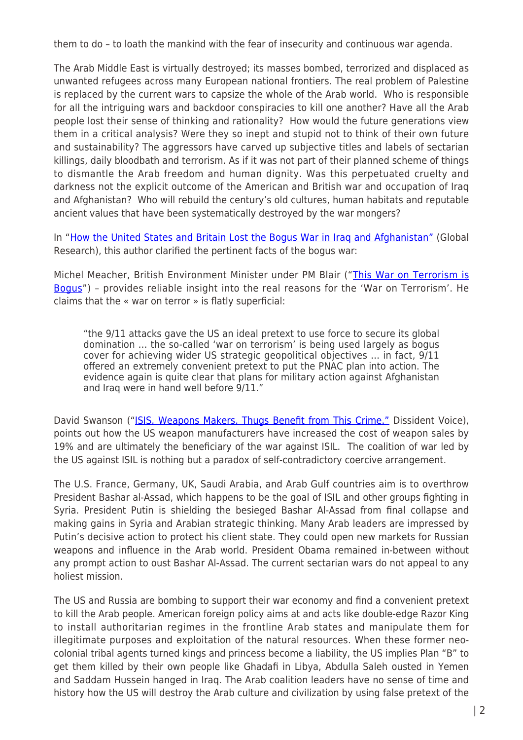them to do – to loath the mankind with the fear of insecurity and continuous war agenda.

The Arab Middle East is virtually destroyed; its masses bombed, terrorized and displaced as unwanted refugees across many European national frontiers. The real problem of Palestine is replaced by the current wars to capsize the whole of the Arab world. Who is responsible for all the intriguing wars and backdoor conspiracies to kill one another? Have all the Arab people lost their sense of thinking and rationality? How would the future generations view them in a critical analysis? Were they so inept and stupid not to think of their own future and sustainability? The aggressors have carved up subjective titles and labels of sectarian killings, daily bloodbath and terrorism. As if it was not part of their planned scheme of things to dismantle the Arab freedom and human dignity. Was this perpetuated cruelty and darkness not the explicit outcome of the American and British war and occupation of Iraq and Afghanistan? Who will rebuild the century's old cultures, human habitats and reputable ancient values that have been systematically destroyed by the war mongers?

In "[How the United States and Britain Lost the Bogus War in Iraq and Afghanistan"](http://www.globalresearch.ca/how-the-united-states-and-britain-lost-the-bogus-wars-in-iraq-and-afghanistan/21556) (Global Research), this author clarified the pertinent facts of the bogus war:

Michel Meacher, British Environment Minister under PM Blair ("[This War on Terrorism is](http://www.guardian.co.uk/politics/2003/sep/06/september11.iraq) [Bogus"](http://www.guardian.co.uk/politics/2003/sep/06/september11.iraq)) – provides reliable insight into the real reasons for the 'War on Terrorism'. He claims that the « war on terror » is flatly superficial:

"the 9/11 attacks gave the US an ideal pretext to use force to secure its global domination … the so-called 'war on terrorism' is being used largely as bogus cover for achieving wider US strategic geopolitical objectives … in fact, 9/11 offered an extremely convenient pretext to put the PNAC plan into action. The evidence again is quite clear that plans for military action against Afghanistan and Iraq were in hand well before 9/11."

David Swanson ("[ISIS, Weapons Makers, Thugs Benefit from This Crime."](http://dissidentvoice.org/2014/09/isis-weapons-makers-thugs-benefit-from-this-crime/) Dissident Voice), points out how the US weapon manufacturers have increased the cost of weapon sales by 19% and are ultimately the beneficiary of the war against ISIL. The coalition of war led by the US against ISIL is nothing but a paradox of self-contradictory coercive arrangement.

The U.S. France, Germany, UK, Saudi Arabia, and Arab Gulf countries aim is to overthrow President Bashar al-Assad, which happens to be the goal of ISIL and other groups fighting in Syria. President Putin is shielding the besieged Bashar Al-Assad from final collapse and making gains in Syria and Arabian strategic thinking. Many Arab leaders are impressed by Putin's decisive action to protect his client state. They could open new markets for Russian weapons and influence in the Arab world. President Obama remained in-between without any prompt action to oust Bashar Al-Assad. The current sectarian wars do not appeal to any holiest mission.

The US and Russia are bombing to support their war economy and find a convenient pretext to kill the Arab people. American foreign policy aims at and acts like double-edge Razor King to install authoritarian regimes in the frontline Arab states and manipulate them for illegitimate purposes and exploitation of the natural resources. When these former neocolonial tribal agents turned kings and princess become a liability, the US implies Plan "B" to get them killed by their own people like Ghadafi in Libya, Abdulla Saleh ousted in Yemen and Saddam Hussein hanged in Iraq. The Arab coalition leaders have no sense of time and history how the US will destroy the Arab culture and civilization by using false pretext of the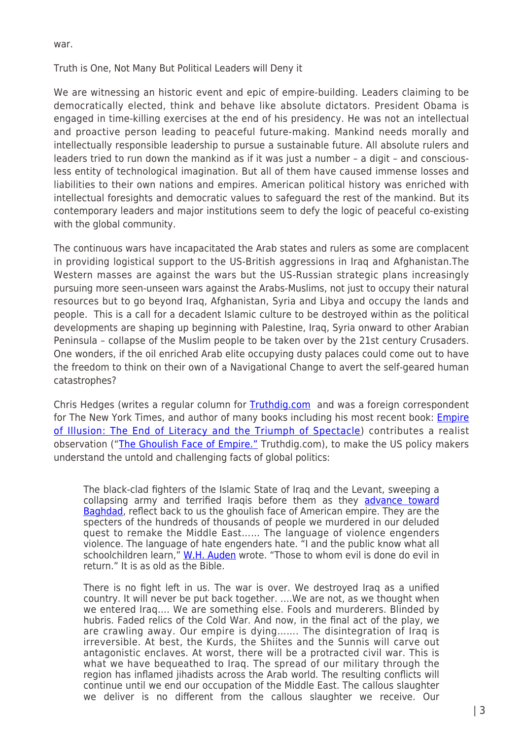war.

## Truth is One, Not Many But Political Leaders will Deny it

We are witnessing an historic event and epic of empire-building. Leaders claiming to be democratically elected, think and behave like absolute dictators. President Obama is engaged in time-killing exercises at the end of his presidency. He was not an intellectual and proactive person leading to peaceful future-making. Mankind needs morally and intellectually responsible leadership to pursue a sustainable future. All absolute rulers and leaders tried to run down the mankind as if it was just a number – a digit – and consciousless entity of technological imagination. But all of them have caused immense losses and liabilities to their own nations and empires. American political history was enriched with intellectual foresights and democratic values to safeguard the rest of the mankind. But its contemporary leaders and major institutions seem to defy the logic of peaceful co-existing with the global community.

The continuous wars have incapacitated the Arab states and rulers as some are complacent in providing logistical support to the US-British aggressions in Iraq and Afghanistan.The Western masses are against the wars but the US-Russian strategic plans increasingly pursuing more seen-unseen wars against the Arabs-Muslims, not just to occupy their natural resources but to go beyond Iraq, Afghanistan, Syria and Libya and occupy the lands and people. This is a call for a decadent Islamic culture to be destroyed within as the political developments are shaping up beginning with Palestine, Iraq, Syria onward to other Arabian Peninsula – collapse of the Muslim people to be taken over by the 21st century Crusaders. One wonders, if the oil enriched Arab elite occupying dusty palaces could come out to have the freedom to think on their own of a Navigational Change to avert the self-geared human catastrophes?

Chris Hedges (writes a regular column for **Truthdig.com** and was a foreign correspondent for The New York Times, and author of many books including his most recent book: **[Empire](http://www.amazon.com/dp/1568584377?tag=commondreams-20/ref=nosim)** [of Illusion: The End of Literacy and the Triumph of Spectacle\)](http://www.amazon.com/dp/1568584377?tag=commondreams-20/ref=nosim) contributes a realist observation (["The Ghoulish Face of Empire."](http://www.truthdig.com/report/item/the_ghoulish_face_of_empire_20140623) Truthdig.com), to make the US policy makers understand the untold and challenging facts of global politics:

The black-clad fighters of the Islamic State of Iraq and the Levant, sweeping a collapsing army and terrified Iraqis before them as they [advance toward](http://www.cnn.com/2014/06/22/world/meast/iraq-crisis/) [Baghdad](http://www.cnn.com/2014/06/22/world/meast/iraq-crisis/), reflect back to us the ghoulish face of American empire. They are the specters of the hundreds of thousands of people we murdered in our deluded quest to remake the Middle East…… The language of violence engenders violence. The language of hate engenders hate. "I and the public know what all schoolchildren learn," [W.H. Auden](http://www.poets.org/poetsorg/poet/w-h-auden) wrote. "Those to whom evil is done do evil in return." It is as old as the Bible.

There is no fight left in us. The war is over. We destroyed Iraq as a unified country. It will never be put back together. ….We are not, as we thought when we entered Iraq…. We are something else. Fools and murderers. Blinded by hubris. Faded relics of the Cold War. And now, in the final act of the play, we are crawling away. Our empire is dying……. The disintegration of Iraq is irreversible. At best, the Kurds, the Shiites and the Sunnis will carve out antagonistic enclaves. At worst, there will be a protracted civil war. This is what we have bequeathed to Iraq. The spread of our military through the region has inflamed jihadists across the Arab world. The resulting conflicts will continue until we end our occupation of the Middle East. The callous slaughter we deliver is no different from the callous slaughter we receive. Our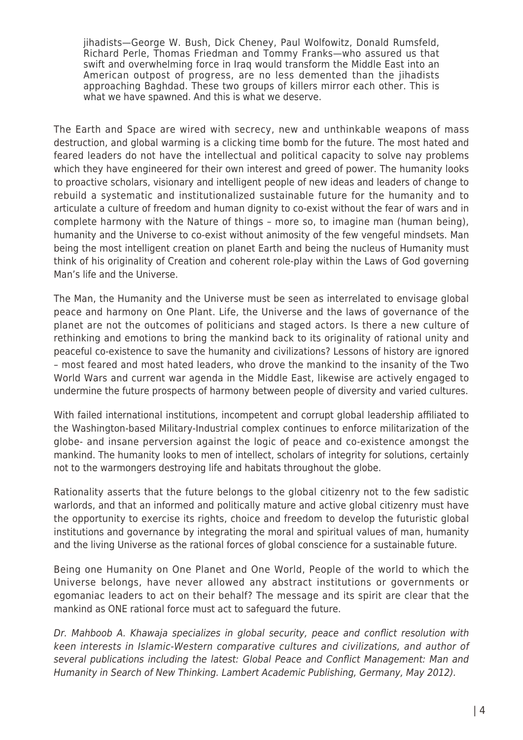jihadists—George W. Bush, Dick Cheney, Paul Wolfowitz, Donald Rumsfeld, Richard Perle, Thomas Friedman and Tommy Franks—who assured us that swift and overwhelming force in Iraq would transform the Middle East into an American outpost of progress, are no less demented than the jihadists approaching Baghdad. These two groups of killers mirror each other. This is what we have spawned. And this is what we deserve.

The Earth and Space are wired with secrecy, new and unthinkable weapons of mass destruction, and global warming is a clicking time bomb for the future. The most hated and feared leaders do not have the intellectual and political capacity to solve nay problems which they have engineered for their own interest and greed of power. The humanity looks to proactive scholars, visionary and intelligent people of new ideas and leaders of change to rebuild a systematic and institutionalized sustainable future for the humanity and to articulate a culture of freedom and human dignity to co-exist without the fear of wars and in complete harmony with the Nature of things – more so, to imagine man (human being), humanity and the Universe to co-exist without animosity of the few vengeful mindsets. Man being the most intelligent creation on planet Earth and being the nucleus of Humanity must think of his originality of Creation and coherent role-play within the Laws of God governing Man's life and the Universe.

The Man, the Humanity and the Universe must be seen as interrelated to envisage global peace and harmony on One Plant. Life, the Universe and the laws of governance of the planet are not the outcomes of politicians and staged actors. Is there a new culture of rethinking and emotions to bring the mankind back to its originality of rational unity and peaceful co-existence to save the humanity and civilizations? Lessons of history are ignored – most feared and most hated leaders, who drove the mankind to the insanity of the Two World Wars and current war agenda in the Middle East, likewise are actively engaged to undermine the future prospects of harmony between people of diversity and varied cultures.

With failed international institutions, incompetent and corrupt global leadership affiliated to the Washington-based Military-Industrial complex continues to enforce militarization of the globe- and insane perversion against the logic of peace and co-existence amongst the mankind. The humanity looks to men of intellect, scholars of integrity for solutions, certainly not to the warmongers destroying life and habitats throughout the globe.

Rationality asserts that the future belongs to the global citizenry not to the few sadistic warlords, and that an informed and politically mature and active global citizenry must have the opportunity to exercise its rights, choice and freedom to develop the futuristic global institutions and governance by integrating the moral and spiritual values of man, humanity and the living Universe as the rational forces of global conscience for a sustainable future.

Being one Humanity on One Planet and One World, People of the world to which the Universe belongs, have never allowed any abstract institutions or governments or egomaniac leaders to act on their behalf? The message and its spirit are clear that the mankind as ONE rational force must act to safeguard the future.

Dr. Mahboob A. Khawaja specializes in global security, peace and conflict resolution with keen interests in Islamic-Western comparative cultures and civilizations, and author of several publications including the latest: Global Peace and Conflict Management: Man and Humanity in Search of New Thinking. Lambert Academic Publishing, Germany, May 2012).